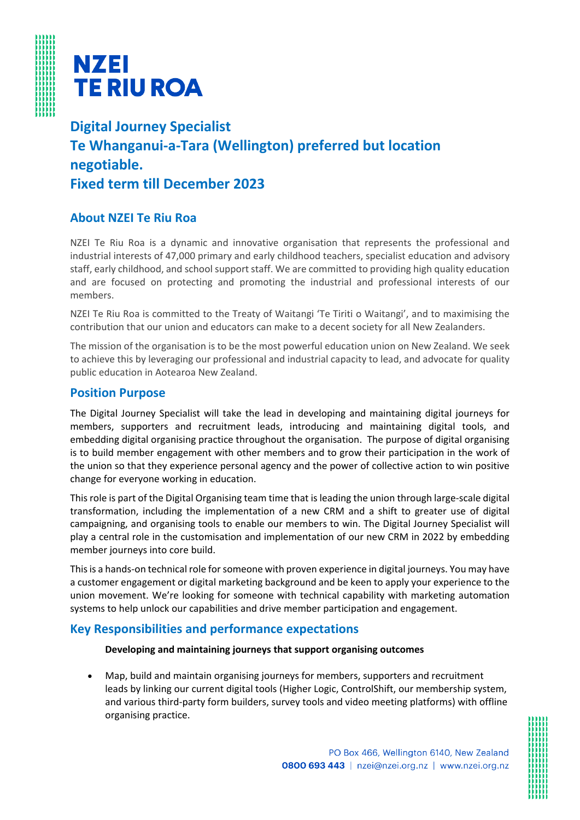



**Digital Journey Specialist Te Whanganui-a-Tara (Wellington) preferred but location negotiable. Fixed term till December 2023**

## **About NZEI Te Riu Roa**

NZEI Te Riu Roa is a dynamic and innovative organisation that represents the professional and industrial interests of 47,000 primary and early childhood teachers, specialist education and advisory staff, early childhood, and school support staff. We are committed to providing high quality education and are focused on protecting and promoting the industrial and professional interests of our members.

NZEI Te Riu Roa is committed to the Treaty of Waitangi 'Te Tiriti o Waitangi', and to maximising the contribution that our union and educators can make to a decent society for all New Zealanders.

The mission of the organisation is to be the most powerful education union on New Zealand. We seek to achieve this by leveraging our professional and industrial capacity to lead, and advocate for quality public education in Aotearoa New Zealand.

### **Position Purpose**

The Digital Journey Specialist will take the lead in developing and maintaining digital journeys for members, supporters and recruitment leads, introducing and maintaining digital tools, and embedding digital organising practice throughout the organisation. The purpose of digital organising is to build member engagement with other members and to grow their participation in the work of the union so that they experience personal agency and the power of collective action to win positive change for everyone working in education.

This role is part of the Digital Organising team time that is leading the union through large-scale digital transformation, including the implementation of a new CRM and a shift to greater use of digital campaigning, and organising tools to enable our members to win. The Digital Journey Specialist will play a central role in the customisation and implementation of our new CRM in 2022 by embedding member journeys into core build.

This is a hands-on technical role for someone with proven experience in digital journeys. You may have a customer engagement or digital marketing background and be keen to apply your experience to the union movement. We're looking for someone with technical capability with marketing automation systems to help unlock our capabilities and drive member participation and engagement.

## **Key Responsibilities and performance expectations**

### **Developing and maintaining journeys that support organising outcomes**

• Map, build and maintain organising journeys for members, supporters and recruitment leads by linking our current digital tools (Higher Logic, ControlShift, our membership system, and various third-party form builders, survey tools and video meeting platforms) with offline organising practice.

PO Box 466, Wellington 6140, New Zealand

0800 693 443 | nzei@nzei.org.nz | www.nzei.org.nz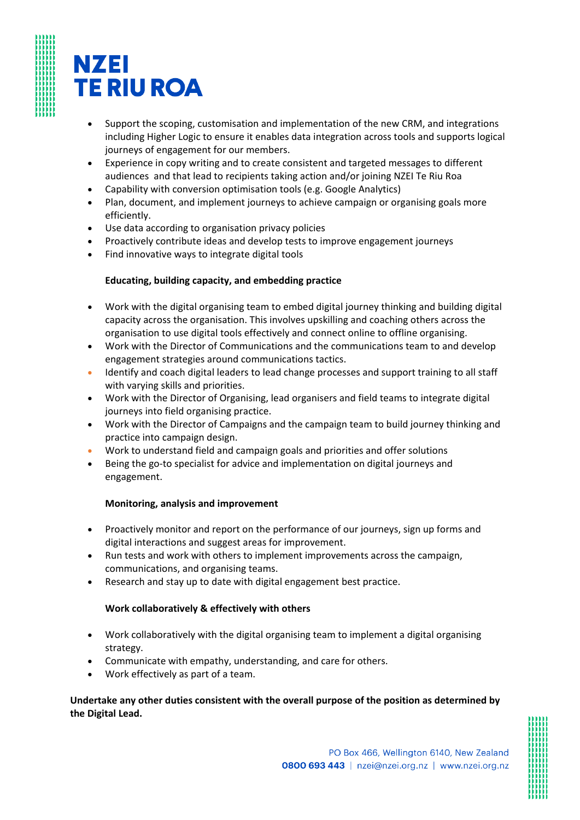# **NZEI TE RIU ROA**

- Support the scoping, customisation and implementation of the new CRM, and integrations including Higher Logic to ensure it enables data integration across tools and supports logical journeys of engagement for our members.
- Experience in copy writing and to create consistent and targeted messages to different audiences and that lead to recipients taking action and/or joining NZEI Te Riu Roa
- Capability with conversion optimisation tools (e.g. Google Analytics)
- Plan, document, and implement journeys to achieve campaign or organising goals more efficiently.
- Use data according to organisation privacy policies
- Proactively contribute ideas and develop tests to improve engagement journeys
- Find innovative ways to integrate digital tools

### **Educating, building capacity, and embedding practice**

- Work with the digital organising team to embed digital journey thinking and building digital capacity across the organisation. This involves upskilling and coaching others across the organisation to use digital tools effectively and connect online to offline organising.
- Work with the Director of Communications and the communications team to and develop engagement strategies around communications tactics.
- Identify and coach digital leaders to lead change processes and support training to all staff with varying skills and priorities.
- Work with the Director of Organising, lead organisers and field teams to integrate digital journeys into field organising practice.
- Work with the Director of Campaigns and the campaign team to build journey thinking and practice into campaign design.
- Work to understand field and campaign goals and priorities and offer solutions
- Being the go-to specialist for advice and implementation on digital journeys and engagement.

### **Monitoring, analysis and improvement**

- Proactively monitor and report on the performance of our journeys, sign up forms and digital interactions and suggest areas for improvement.
- Run tests and work with others to implement improvements across the campaign, communications, and organising teams.
- Research and stay up to date with digital engagement best practice.

### **Work collaboratively & effectively with others**

- Work collaboratively with the digital organising team to implement a digital organising strategy.
- Communicate with empathy, understanding, and care for others.
- Work effectively as part of a team.

### **Undertake any other duties consistent with the overall purpose of the position as determined by the Digital Lead.**